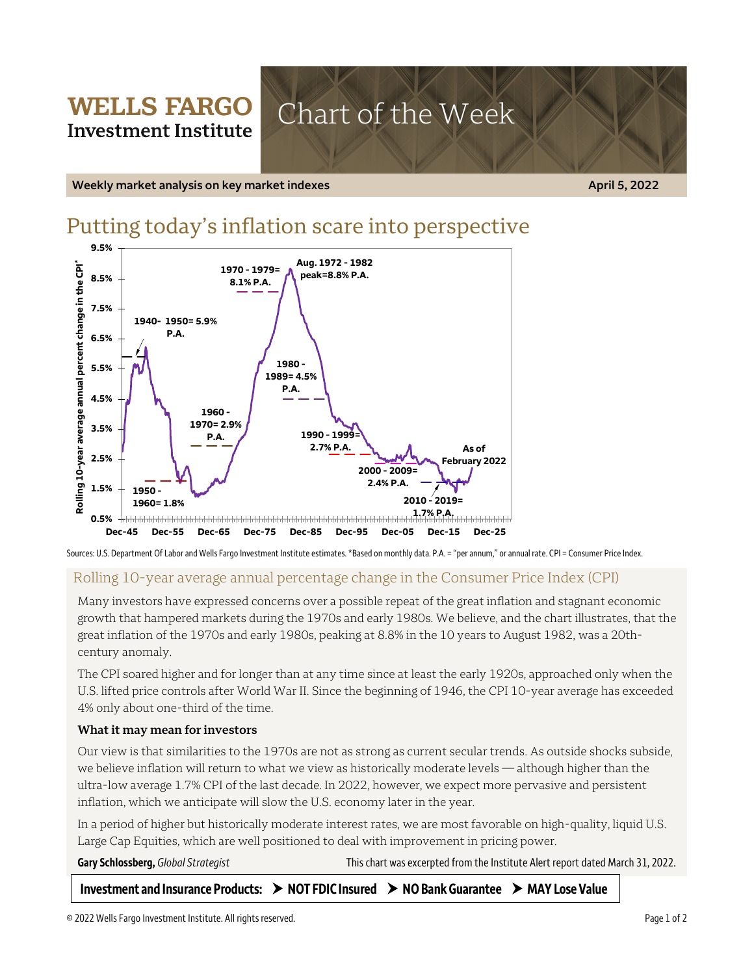# **WELLS FARGO** Chart of the Week **Investment Institute**

**Weekly market analysis on key market indexes April 5, 2022**

# Putting today's inflation scare into perspective



Sources: U.S. Department Of Labor and Wells Fargo Investment Institute estimates. \*Based on monthly data. P.A. = "per annum," or annual rate. CPI = Consumer Price Index. 

# Rolling 10-year average annual percentage change in the Consumer Price Index (CPI)

Many investors have expressed concerns over a possible repeat of the great inflation and stagnant economic growth that hampered markets during the 1970s and early 1980s. We believe, and the chart illustrates, that the great inflation of the 1970s and early 1980s, peaking at 8.8% in the 10 years to August 1982, was a 20thcentury anomaly.

The CPI soared higher and for longer than at any time since at least the early 1920s, approached only when the U.S. lifted price controls after World War II. Since the beginning of 1946, the CPI 10-year average has exceeded 4% only about one-third of the time.

## **What it may mean for investors**

Our view is that similarities to the 1970s are not as strong as current secular trends. As outside shocks subside, we believe inflation will return to what we view as historically moderate levels — although higher than the ultra-low average 1.7% CPI of the last decade. In 2022, however, we expect more pervasive and persistent inflation, which we anticipate will slow the U.S. economy later in the year.

In a period of higher but historically moderate interest rates, we are most favorable on high-quality, liquid U.S. Large Cap Equities, which are well positioned to deal with improvement in pricing power.

Gary Schlossberg, *Global Strategist* This chart was excerpted from the Institute Alert report dated March 31, 2022.

**Investment and Insurance Products: NOT FDIC Insured NO Bank Guarantee MAY Lose Value**